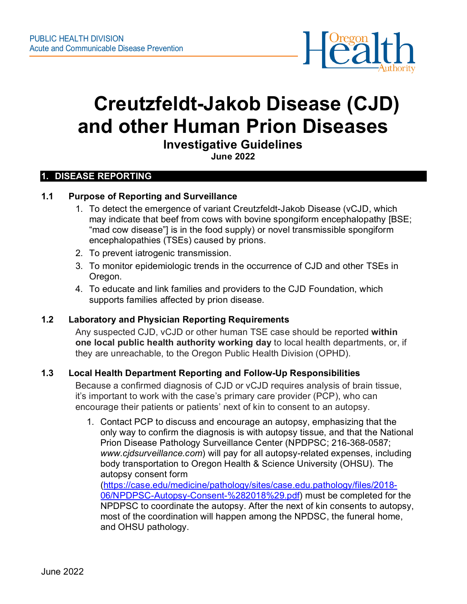

# **Creutzfeldt-Jakob Disease (CJD) and other Human Prion Diseases**

**Investigative Guidelines**

**June 2022**

#### **1. DISEASE REPORTING**

#### **1.1 Purpose of Reporting and Surveillance**

- 1. To detect the emergence of variant Creutzfeldt-Jakob Disease (vCJD, which may indicate that beef from cows with bovine spongiform encephalopathy [BSE; "mad cow disease"] is in the food supply) or novel transmissible spongiform encephalopathies (TSEs) caused by prions.
- 2. To prevent iatrogenic transmission.
- 3. To monitor epidemiologic trends in the occurrence of CJD and other TSEs in Oregon.
- 4. To educate and link families and providers to the CJD Foundation, which supports families affected by prion disease.

#### **1.2 Laboratory and Physician Reporting Requirements**

Any suspected CJD, vCJD or other human TSE case should be reported **within one local public health authority working day** to local health departments, or, if they are unreachable, to the Oregon Public Health Division (OPHD).

#### **1.3 Local Health Department Reporting and Follow-Up Responsibilities**

Because a confirmed diagnosis of CJD or vCJD requires analysis of brain tissue, it's important to work with the case's primary care provider (PCP), who can encourage their patients or patients' next of kin to consent to an autopsy.

1. Contact PCP to discuss and encourage an autopsy, emphasizing that the only way to confirm the diagnosis is with autopsy tissue, and that the National Prion Disease Pathology Surveillance Center (NPDPSC; 216-368-0587; *www.cjdsurveillance.com*) will pay for all autopsy-related expenses, including body transportation to Oregon Health & Science University (OHSU). The autopsy consent form [\(https://case.edu/medicine/pathology/sites/case.edu.pathology/files/2018-](https://case.edu/medicine/pathology/sites/case.edu.pathology/files/2018-06/NPDPSC-Autopsy-Consent-%282018%29.pdf)

[06/NPDPSC-Autopsy-Consent-%282018%29.pdf\)](https://case.edu/medicine/pathology/sites/case.edu.pathology/files/2018-06/NPDPSC-Autopsy-Consent-%282018%29.pdf) must be completed for the NPDPSC to coordinate the autopsy. After the next of kin consents to autopsy, most of the coordination will happen among the NPDSC, the funeral home, and OHSU pathology.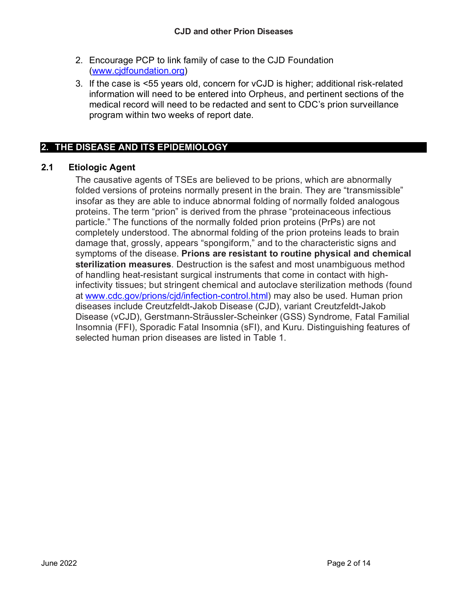- 2. Encourage PCP to link family of case to the CJD Foundation [\(www.cjdfoundation.org\)](http://www.cjdfoundation.org/)
- 3. If the case is <55 years old, concern for vCJD is higher; additional risk-related information will need to be entered into Orpheus, and pertinent sections of the medical record will need to be redacted and sent to CDC's prion surveillance program within two weeks of report date.

# **2. THE DISEASE AND ITS EPIDEMIOLOGY**

## **2.1 Etiologic Agent**

The causative agents of TSEs are believed to be prions, which are abnormally folded versions of proteins normally present in the brain. They are "transmissible" insofar as they are able to induce abnormal folding of normally folded analogous proteins. The term "prion" is derived from the phrase "proteinaceous infectious particle." The functions of the normally folded prion proteins (PrPs) are not completely understood. The abnormal folding of the prion proteins leads to brain damage that, grossly, appears "spongiform," and to the characteristic signs and symptoms of the disease. **Prions are resistant to routine physical and chemical sterilization measures**. Destruction is the safest and most unambiguous method of handling heat-resistant surgical instruments that come in contact with highinfectivity tissues; but stringent chemical and autoclave sterilization methods (found at [www.cdc.gov/prions/cjd/infection-control.html\)](http://www.cdc.gov/prions/cjd/infection-control.html) may also be used. Human prion diseases include Creutzfeldt-Jakob Disease (CJD), variant Creutzfeldt-Jakob Disease (vCJD), Gerstmann-Sträussler-Scheinker (GSS) Syndrome, Fatal Familial Insomnia (FFI), Sporadic Fatal Insomnia (sFI), and Kuru. Distinguishing features of selected human prion diseases are listed in Table 1.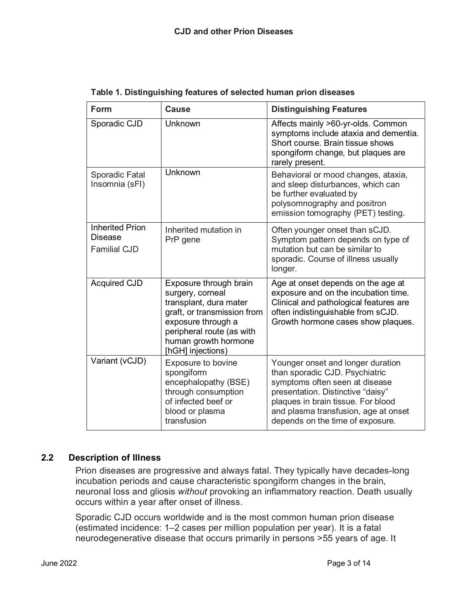| <b>Form</b>                                                     | <b>Cause</b>                                                                                                                                                                                        | <b>Distinguishing Features</b>                                                                                                                                                                                                                               |  |
|-----------------------------------------------------------------|-----------------------------------------------------------------------------------------------------------------------------------------------------------------------------------------------------|--------------------------------------------------------------------------------------------------------------------------------------------------------------------------------------------------------------------------------------------------------------|--|
| Sporadic CJD                                                    | Unknown                                                                                                                                                                                             | Affects mainly >60-yr-olds. Common<br>symptoms include ataxia and dementia.<br>Short course. Brain tissue shows<br>spongiform change, but plaques are<br>rarely present.                                                                                     |  |
| Sporadic Fatal<br>Insomnia (sFI)                                | Unknown                                                                                                                                                                                             | Behavioral or mood changes, ataxia,<br>and sleep disturbances, which can<br>be further evaluated by<br>polysomnography and positron<br>emission tomography (PET) testing.                                                                                    |  |
| <b>Inherited Prion</b><br><b>Disease</b><br><b>Familial CJD</b> | Inherited mutation in<br>PrP gene                                                                                                                                                                   | Often younger onset than sCJD.<br>Symptom pattern depends on type of<br>mutation but can be similar to<br>sporadic. Course of illness usually<br>longer.                                                                                                     |  |
| <b>Acquired CJD</b>                                             | Exposure through brain<br>surgery, corneal<br>transplant, dura mater<br>graft, or transmission from<br>exposure through a<br>peripheral route (as with<br>human growth hormone<br>[hGH] injections) | Age at onset depends on the age at<br>exposure and on the incubation time.<br>Clinical and pathological features are<br>often indistinguishable from sCJD.<br>Growth hormone cases show plaques.                                                             |  |
| Variant (vCJD)                                                  | <b>Exposure to bovine</b><br>spongiform<br>encephalopathy (BSE)<br>through consumption<br>of infected beef or<br>blood or plasma<br>transfusion                                                     | Younger onset and longer duration<br>than sporadic CJD. Psychiatric<br>symptoms often seen at disease<br>presentation. Distinctive "daisy"<br>plaques in brain tissue. For blood<br>and plasma transfusion, age at onset<br>depends on the time of exposure. |  |

**Table 1. Distinguishing features of selected human prion diseases**

## **2.2 Description of Illness**

Prion diseases are progressive and always fatal. They typically have decades-long incubation periods and cause characteristic spongiform changes in the brain, neuronal loss and gliosis *without* provoking an inflammatory reaction. Death usually occurs within a year after onset of illness.

Sporadic CJD occurs worldwide and is the most common human prion disease (estimated incidence: 1–2 cases per million population per year). It is a fatal neurodegenerative disease that occurs primarily in persons >55 years of age. It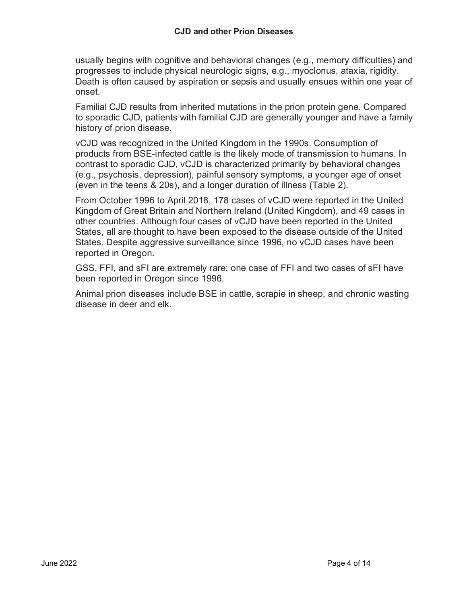usually begins with cognitive and behavioral changes (e.g., memory difficulties) and progresses to include physical neurologic signs, e.g., myoclonus, ataxia, rigidity. Death is often caused by aspiration or sepsis and usually ensues within one year of onset.

Familial CJD results from inherited mutations in the prion protein gene. Compared to sporadic CJD, patients with familial CJD are generally younger and have a family history of prion disease.

vCJD was recognized in the United Kingdom in the 1990s. Consumption of products from BSE-infected cattle is the likely mode of transmission to humans. In contrast to sporadic CJD, vCJD is characterized primarily by behavioral changes (e.g., psychosis, depression), painful sensory symptoms, a younger age of onset (even in the teens & 20s), and a longer duration of illness (Table 2).

From October 1996 to April 2018, 178 cases of vCJD were reported in the United Kingdom of Great Britain and Northern Ireland (United Kingdom), and 49 cases in other countries. Although four cases of vCJD have been reported in the United States, all are thought to have been exposed to the disease outside of the United States. Despite aggressive surveillance since 1996, no vCJD cases have been reported in Oregon.

GSS, FFI, and sFI are extremely rare; one case of FFI and two cases of sFI have been reported in Oregon since 1996.

Animal prion diseases include BSE in cattle, scrapie in sheep, and chronic wasting disease in deer and elk.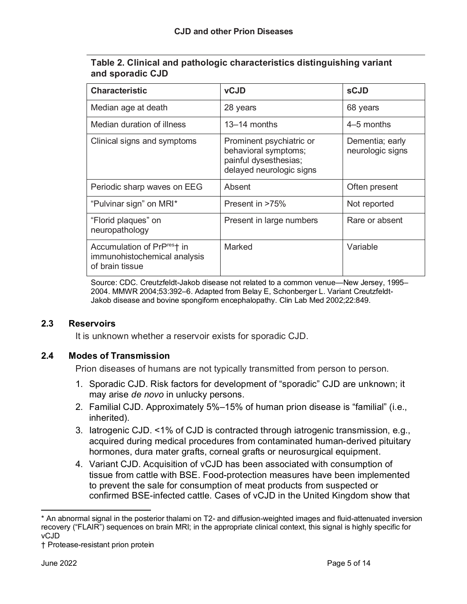| Table 2. Clinical and pathologic characteristics distinguishing variant |  |
|-------------------------------------------------------------------------|--|
| and sporadic CJD                                                        |  |

| <b>Characteristic</b>                                                                      | <b>vCJD</b>                                                                                           | <b>sCJD</b>                         |
|--------------------------------------------------------------------------------------------|-------------------------------------------------------------------------------------------------------|-------------------------------------|
| Median age at death                                                                        | 28 years                                                                                              | 68 years                            |
| Median duration of illness                                                                 | $13-14$ months                                                                                        | 4–5 months                          |
| Clinical signs and symptoms                                                                | Prominent psychiatric or<br>behavioral symptoms;<br>painful dysesthesias;<br>delayed neurologic signs | Dementia; early<br>neurologic signs |
| Periodic sharp waves on EEG                                                                | Absent                                                                                                | Often present                       |
| "Pulvinar sign" on MRI*                                                                    | Present in >75%                                                                                       | Not reported                        |
| "Florid plaques" on<br>neuropathology                                                      | Present in large numbers                                                                              | Rare or absent                      |
| Accumulation of PrP <sup>res</sup> † in<br>immunohistochemical analysis<br>of brain tissue | Marked                                                                                                | Variable                            |

Source: CDC. Creutzfeldt-Jakob disease not related to a common venue—New Jersey, 1995– 2004. MMWR 2004;53:392–6. Adapted from Belay E, Schonberger L. Variant Creutzfeldt-Jakob disease and bovine spongiform encephalopathy. Clin Lab Med 2002;22:849.

#### **2.3 Reservoirs**

It is unknown whether a reservoir exists for sporadic CJD.

#### **2.4 Modes of Transmission**

Prion diseases of humans are not typically transmitted from person to person.

- 1. Sporadic CJD. Risk factors for development of "sporadic" CJD are unknown; it may arise *de novo* in unlucky persons.
- 2. Familial CJD. Approximately 5%–15% of human prion disease is "familial" (i.e., inherited).
- 3. Iatrogenic CJD. <1% of CJD is contracted through iatrogenic transmission, e.g., acquired during medical procedures from contaminated human-derived pituitary hormones, dura mater grafts, corneal grafts or neurosurgical equipment.
- 4. Variant CJD. Acquisition of vCJD has been associated with consumption of tissue from cattle with BSE. Food-protection measures have been implemented to prevent the sale for consumption of meat products from suspected or confirmed BSE-infected cattle. Cases of vCJD in the United Kingdom show that

<span id="page-4-0"></span><sup>\*</sup> An abnormal signal in the posterior thalami on T2- and diffusion-weighted images and fluid-attenuated inversion recovery ("FLAIR") sequences on brain MRI; in the appropriate clinical context, this signal is highly specific for vCJD

<span id="page-4-1"></span><sup>†</sup> Protease-resistant prion protein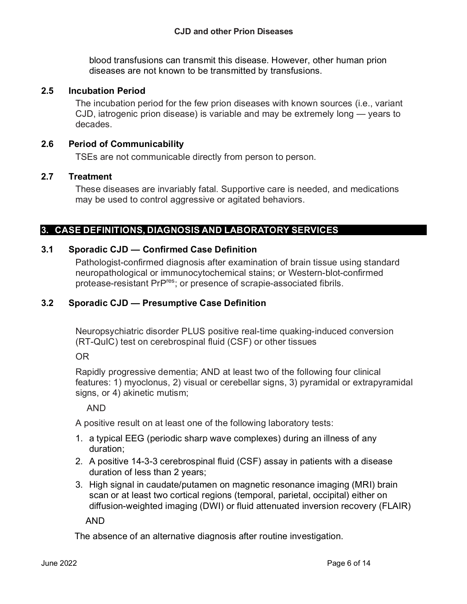blood transfusions can transmit this disease. However, other human prion diseases are not known to be transmitted by transfusions.

#### **2.5 Incubation Period**

The incubation period for the few prion diseases with known sources (i.e., variant CJD, iatrogenic prion disease) is variable and may be extremely long — years to decades.

#### **2.6 Period of Communicability**

TSEs are not communicable directly from person to person.

#### **2.7 Treatment**

These diseases are invariably fatal. Supportive care is needed, and medications may be used to control aggressive or agitated behaviors.

## **3. CASE DEFINITIONS, DIAGNOSIS AND LABORATORY SERVICES**

## **3.1 Sporadic CJD — Confirmed Case Definition**

Pathologist-confirmed diagnosis after examination of brain tissue using standard neuropathological or immunocytochemical stains; or Western-blot-confirmed protease-resistant PrPres; or presence of scrapie-associated fibrils.

#### **3.2 Sporadic CJD — Presumptive Case Definition**

Neuropsychiatric disorder PLUS positive real-time quaking-induced conversion (RT-QuIC) test on cerebrospinal fluid (CSF) or other tissues

OR

Rapidly progressive dementia; AND at least two of the following four clinical features: 1) myoclonus, 2) visual or cerebellar signs, 3) pyramidal or extrapyramidal signs, or 4) akinetic mutism;

AND

A positive result on at least one of the following laboratory tests:

- 1. a typical EEG (periodic sharp wave complexes) during an illness of any duration;
- 2. A positive 14-3-3 cerebrospinal fluid (CSF) assay in patients with a disease duration of less than 2 years;
- 3. High signal in caudate/putamen on magnetic resonance imaging (MRI) brain scan or at least two cortical regions (temporal, parietal, occipital) either on diffusion-weighted imaging (DWI) or fluid attenuated inversion recovery (FLAIR)

AND

The absence of an alternative diagnosis after routine investigation.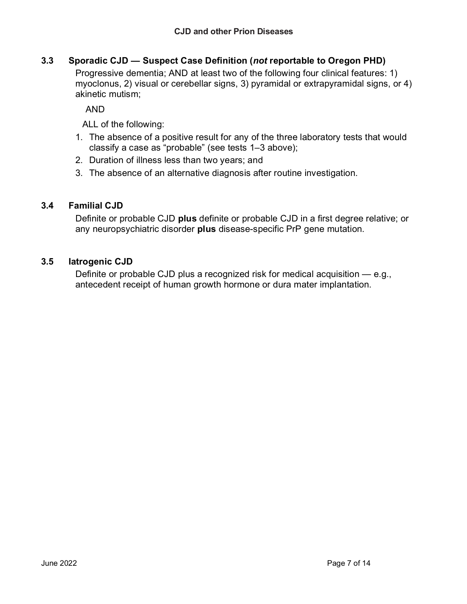## **3.3 Sporadic CJD — Suspect Case Definition (***not* **reportable to Oregon PHD)**

Progressive dementia; AND at least two of the following four clinical features: 1) myoclonus, 2) visual or cerebellar signs, 3) pyramidal or extrapyramidal signs, or 4) akinetic mutism;

AND

ALL of the following:

- 1. The absence of a positive result for any of the three laboratory tests that would classify a case as "probable" (see tests 1–3 above);
- 2. Duration of illness less than two years; and
- 3. The absence of an alternative diagnosis after routine investigation.

## **3.4 Familial CJD**

Definite or probable CJD **plus** definite or probable CJD in a first degree relative; or any neuropsychiatric disorder **plus** disease-specific PrP gene mutation.

#### **3.5 Iatrogenic CJD**

Definite or probable CJD plus a recognized risk for medical acquisition — e.g., antecedent receipt of human growth hormone or dura mater implantation.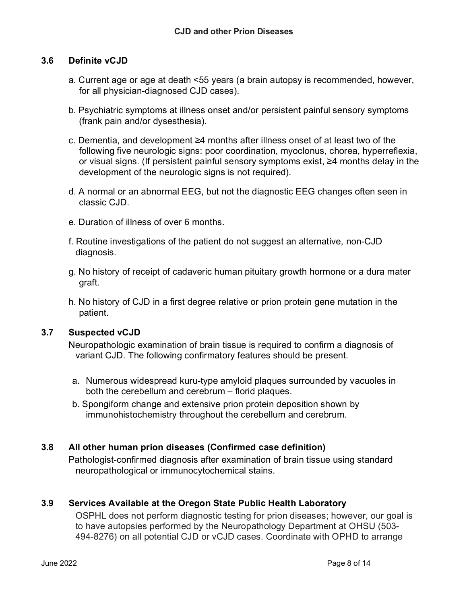## **3.6 Definite vCJD**

- a. Current age or age at death <55 years (a brain autopsy is recommended, however, for all physician-diagnosed CJD cases).
- b. Psychiatric symptoms at illness onset and/or persistent painful sensory symptoms (frank pain and/or dysesthesia).
- c. Dementia, and development ≥4 months after illness onset of at least two of the following five neurologic signs: poor coordination, myoclonus, chorea, hyperreflexia, or visual signs. (If persistent painful sensory symptoms exist, ≥4 months delay in the development of the neurologic signs is not required).
- d. A normal or an abnormal EEG, but not the diagnostic EEG changes often seen in classic CJD.
- e. Duration of illness of over 6 months.
- f. Routine investigations of the patient do not suggest an alternative, non-CJD diagnosis.
- g. No history of receipt of cadaveric human pituitary growth hormone or a dura mater graft.
- h. No history of CJD in a first degree relative or prion protein gene mutation in the patient.

#### **3.7 Suspected vCJD**

Neuropathologic examination of brain tissue is required to confirm a diagnosis of variant CJD. The following confirmatory features should be present.

- a. Numerous widespread kuru-type amyloid plaques surrounded by vacuoles in both the cerebellum and cerebrum – florid plaques.
- b. Spongiform change and extensive prion protein deposition shown by immunohistochemistry throughout the cerebellum and cerebrum.

## **3.8 All other human prion diseases (Confirmed case definition)**

Pathologist-confirmed diagnosis after examination of brain tissue using standard neuropathological or immunocytochemical stains.

## **3.9 Services Available at the Oregon State Public Health Laboratory**

OSPHL does not perform diagnostic testing for prion diseases; however, our goal is to have autopsies performed by the Neuropathology Department at OHSU (503- 494-8276) on all potential CJD or vCJD cases. Coordinate with OPHD to arrange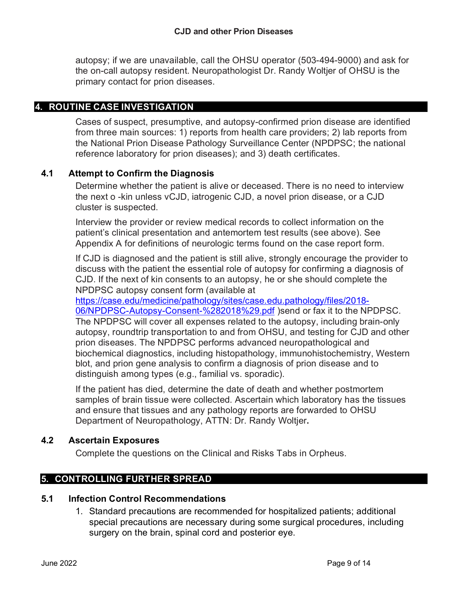autopsy; if we are unavailable, call the OHSU operator (503-494-9000) and ask for the on-call autopsy resident. Neuropathologist Dr. Randy Woltjer of OHSU is the primary contact for prion diseases.

## **4. ROUTINE CASE INVESTIGATION**

Cases of suspect, presumptive, and autopsy-confirmed prion disease are identified from three main sources: 1) reports from health care providers; 2) lab reports from the National Prion Disease Pathology Surveillance Center (NPDPSC; the national reference laboratory for prion diseases); and 3) death certificates.

## **4.1 Attempt to Confirm the Diagnosis**

Determine whether the patient is alive or deceased. There is no need to interview the next o -kin unless vCJD, iatrogenic CJD, a novel prion disease, or a CJD cluster is suspected.

Interview the provider or review medical records to collect information on the patient's clinical presentation and antemortem test results (see above). See Appendix A for definitions of neurologic terms found on the case report form.

If CJD is diagnosed and the patient is still alive, strongly encourage the provider to discuss with the patient the essential role of autopsy for confirming a diagnosis of CJD. If the next of kin consents to an autopsy, he or she should complete the NPDPSC autopsy consent form (available at

[https://case.edu/medicine/pathology/sites/case.edu.pathology/files/2018-](https://case.edu/medicine/pathology/sites/case.edu.pathology/files/2018-06/NPDPSC-Autopsy-Consent-%282018%29.pdf) [06/NPDPSC-Autopsy-Consent-%282018%29.pdf](https://case.edu/medicine/pathology/sites/case.edu.pathology/files/2018-06/NPDPSC-Autopsy-Consent-%282018%29.pdf) )send or fax it to the NPDPSC. The NPDPSC will cover all expenses related to the autopsy, including brain-only autopsy, roundtrip transportation to and from OHSU, and testing for CJD and other prion diseases. The NPDPSC performs advanced neuropathological and biochemical diagnostics, including histopathology, immunohistochemistry, Western blot, and prion gene analysis to confirm a diagnosis of prion disease and to distinguish among types (e.g., familial vs. sporadic).

If the patient has died, determine the date of death and whether postmortem samples of brain tissue were collected. Ascertain which laboratory has the tissues and ensure that tissues and any pathology reports are forwarded to OHSU Department of Neuropathology, ATTN: Dr. Randy Woltjer**.** 

#### **4.2 Ascertain Exposures**

Complete the questions on the Clinical and Risks Tabs in Orpheus.

## **5. CONTROLLING FURTHER SPREAD**

#### **5.1 Infection Control Recommendations**

1. Standard precautions are recommended for hospitalized patients; additional special precautions are necessary during some surgical procedures, including surgery on the brain, spinal cord and posterior eye.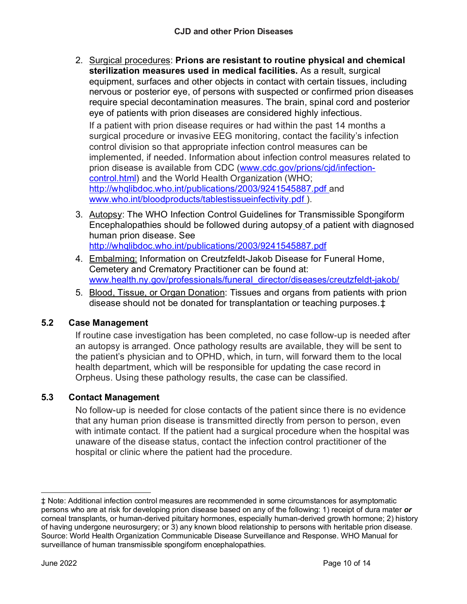2. Surgical procedures: **Prions are resistant to routine physical and chemical sterilization measures used in medical facilities.** As a result, surgical equipment, surfaces and other objects in contact with certain tissues, including nervous or posterior eye, of persons with suspected or confirmed prion diseases require special decontamination measures. The brain, spinal cord and posterior eye of patients with prion diseases are considered highly infectious.

If a patient with prion disease requires or had within the past 14 months a surgical procedure or invasive EEG monitoring, contact the facility's infection control division so that appropriate infection control measures can be implemented, if needed. Information about infection control measures related to prion disease is available from CDC [\(www.cdc.gov/prions/cjd/infection](http://www.cdc.gov/prions/cjd/infection-control.html)[control.html\)](http://www.cdc.gov/prions/cjd/infection-control.html) and the World Health Organization (WHO; <http://whqlibdoc.who.int/publications/2003/9241545887.pdf> and [www.who.int/bloodproducts/tablestissueinfectivity.pdf](http://www.who.int/bloodproducts/tablestissueinfectivity.pdf) ).

- 3. Autopsy: The WHO Infection Control Guidelines for Transmissible Spongiform Encephalopathies should be followed during autopsy of a patient with diagnosed human prion disease. See <http://whqlibdoc.who.int/publications/2003/9241545887.pdf>
- 4. Embalming: Information on Creutzfeldt-Jakob Disease for Funeral Home, Cemetery and Crematory Practitioner can be found at: [www.health.ny.gov/professionals/funeral\\_director/diseases/creutzfeldt-jakob/](http://www.health.ny.gov/professionals/funeral_director/diseases/creutzfeldt-jakob/)
- 5. Blood, Tissue, or Organ Donation: Tissues and organs from patients with prion disease should not be donated for transplantation or teaching purposes.[‡](#page-9-0)

# **5.2 Case Management**

If routine case investigation has been completed, no case follow-up is needed after an autopsy is arranged. Once pathology results are available, they will be sent to the patient's physician and to OPHD, which, in turn, will forward them to the local health department, which will be responsible for updating the case record in Orpheus. Using these pathology results, the case can be classified.

# **5.3 Contact Management**

No follow-up is needed for close contacts of the patient since there is no evidence that any human prion disease is transmitted directly from person to person, even with intimate contact. If the patient had a surgical procedure when the hospital was unaware of the disease status, contact the infection control practitioner of the hospital or clinic where the patient had the procedure.

<span id="page-9-0"></span><sup>‡</sup> Note: Additional infection control measures are recommended in some circumstances for asymptomatic persons who are at risk for developing prion disease based on any of the following: 1) receipt of dura mater *or*  corneal transplants, or human-derived pituitary hormones, especially human-derived growth hormone; 2) history of having undergone neurosurgery; or 3) any known blood relationship to persons with heritable prion disease. Source: World Health Organization Communicable Disease Surveillance and Response. WHO Manual for surveillance of human transmissible spongiform encephalopathies.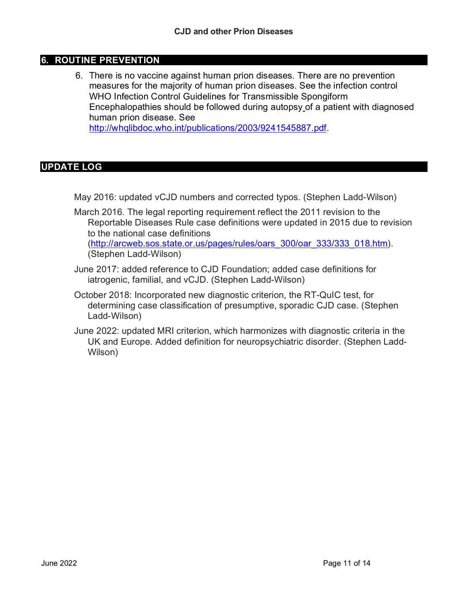## **6. ROUTINE PREVENTION**

6. There is no vaccine against human prion diseases. There are no prevention measures for the majority of human prion diseases. See the infection control WHO Infection Control Guidelines for Transmissible Spongiform Encephalopathies should be followed during autopsy of a patient with diagnosed human prion disease. See [http://whqlibdoc.who.int/publications/2003/9241545887.pdf.](http://whqlibdoc.who.int/publications/2003/9241545887.pdf)

## **UPDATE LOG**

May 2016: updated vCJD numbers and corrected typos. (Stephen Ladd-Wilson)

- March 2016. The legal reporting requirement reflect the 2011 revision to the Reportable Diseases Rule case definitions were updated in 2015 due to revision to the national case definitions [\(http://arcweb.sos.state.or.us/pages/rules/oars\\_300/oar\\_333/333\\_018.htm\)](http://arcweb.sos.state.or.us/pages/rules/oars_300/oar_333/333_018.htm). (Stephen Ladd-Wilson)
- June 2017: added reference to CJD Foundation; added case definitions for iatrogenic, familial, and vCJD. (Stephen Ladd-Wilson)
- October 2018: Incorporated new diagnostic criterion, the RT-QuIC test, for determining case classification of presumptive, sporadic CJD case. (Stephen Ladd-Wilson)
- June 2022: updated MRI criterion, which harmonizes with diagnostic criteria in the UK and Europe. Added definition for neuropsychiatric disorder. (Stephen Ladd-Wilson)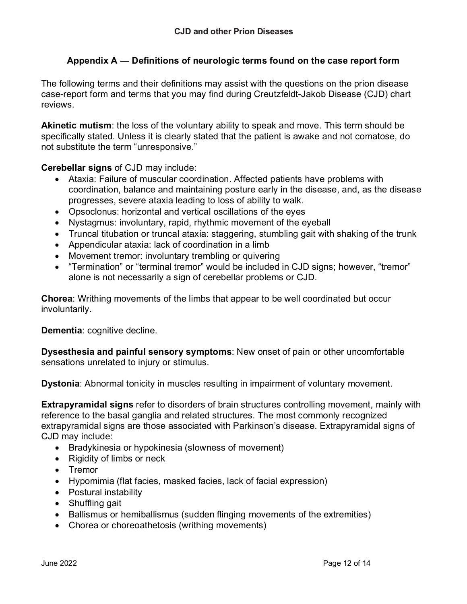## **Appendix A — Definitions of neurologic terms found on the case report form**

The following terms and their definitions may assist with the questions on the prion disease case-report form and terms that you may find during Creutzfeldt-Jakob Disease (CJD) chart reviews.

**Akinetic mutism**: the loss of the voluntary ability to speak and move. This term should be specifically stated. Unless it is clearly stated that the patient is awake and not comatose, do not substitute the term "unresponsive."

**Cerebellar signs** of CJD may include:

- Ataxia: Failure of muscular coordination. Affected patients have problems with coordination, balance and maintaining posture early in the disease, and, as the disease progresses, severe ataxia leading to loss of ability to walk.
- Opsoclonus: horizontal and vertical oscillations of the eyes
- Nystagmus: involuntary, rapid, rhythmic movement of the eyeball
- Truncal titubation or truncal ataxia: staggering, stumbling gait with shaking of the trunk
- Appendicular ataxia: lack of coordination in a limb
- Movement tremor: involuntary trembling or quivering
- "Termination" or "terminal tremor" would be included in CJD signs; however, "tremor" alone is not necessarily a sign of cerebellar problems or CJD.

**Chorea**: Writhing movements of the limbs that appear to be well coordinated but occur involuntarily.

**Dementia**: cognitive decline.

**Dysesthesia and painful sensory symptoms**: New onset of pain or other uncomfortable sensations unrelated to injury or stimulus.

**Dystonia**: Abnormal tonicity in muscles resulting in impairment of voluntary movement.

**Extrapyramidal signs** refer to disorders of brain structures controlling movement, mainly with reference to the basal ganglia and related structures. The most commonly recognized extrapyramidal signs are those associated with Parkinson's disease. Extrapyramidal signs of CJD may include:

- Bradykinesia or hypokinesia (slowness of movement)
- Rigidity of limbs or neck
- Tremor
- Hypomimia (flat facies, masked facies, lack of facial expression)
- Postural instability
- Shuffling gait
- Ballismus or hemiballismus (sudden flinging movements of the extremities)
- Chorea or choreoathetosis (writhing movements)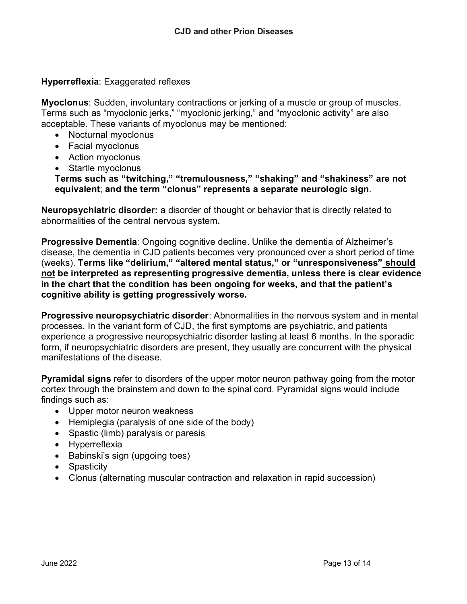## **Hyperreflexia**: Exaggerated reflexes

**Myoclonus**: Sudden, involuntary contractions or jerking of a muscle or group of muscles. Terms such as "myoclonic jerks," "myoclonic jerking," and "myoclonic activity" are also acceptable. These variants of myoclonus may be mentioned:

- Nocturnal myoclonus
- Facial myoclonus
- Action myoclonus
- Startle myoclonus

**Terms such as "twitching," "tremulousness," "shaking" and "shakiness" are not equivalent**; **and the term "clonus" represents a separate neurologic sign**.

**Neuropsychiatric disorder:** a disorder of thought or behavior that is directly related to abnormalities of the central nervous system**.**

**Progressive Dementia**: Ongoing cognitive decline. Unlike the dementia of Alzheimer's disease, the dementia in CJD patients becomes very pronounced over a short period of time (weeks). **Terms like "delirium," "altered mental status," or "unresponsiveness" should not be interpreted as representing progressive dementia, unless there is clear evidence in the chart that the condition has been ongoing for weeks, and that the patient's cognitive ability is getting progressively worse.**

**Progressive neuropsychiatric disorder**: Abnormalities in the nervous system and in mental processes. In the variant form of CJD, the first symptoms are psychiatric, and patients experience a progressive neuropsychiatric disorder lasting at least 6 months. In the sporadic form, if neuropsychiatric disorders are present, they usually are concurrent with the physical manifestations of the disease.

**Pyramidal signs** refer to disorders of the upper motor neuron pathway going from the motor cortex through the brainstem and down to the spinal cord. Pyramidal signs would include findings such as:

- Upper motor neuron weakness
- Hemiplegia (paralysis of one side of the body)
- Spastic (limb) paralysis or paresis
- Hyperreflexia
- Babinski's sign (upgoing toes)
- Spasticity
- Clonus (alternating muscular contraction and relaxation in rapid succession)